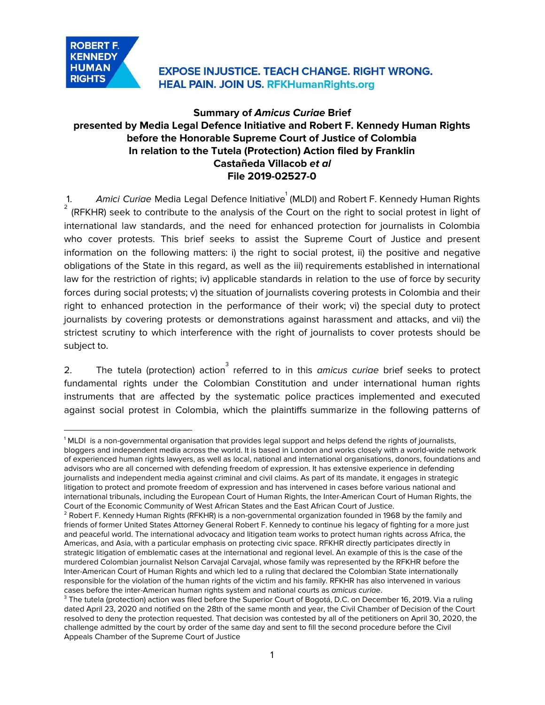

## **Summary of Amicus Curiae Brief presented by Media Legal Defence Initiative and Robert F. Kennedy Human Rights before the Honorable Supreme Court of Justice of Colombia In relation to the Tutela (Protection) Action filed by Franklin Castañeda Villacob et al File 2019-02527-0**

1. A*mici Curia*e Media Legal Defence Initiative<sup>1</sup> (MLDI) and Robert F. Kennedy Human Rights (RFKHR) seek to contribute to the analysis of the Court on the right to social protest in light of 2 international law standards, and the need for enhanced protection for journalists in Colombia who cover protests. This brief seeks to assist the Supreme Court of Justice and present information on the following matters: i) the right to social protest, ii) the positive and negative obligations of the State in this regard, as well as the iii) requirements established in international law for the restriction of rights; iv) applicable standards in relation to the use of force by security forces during social protests; v) the situation of journalists covering protests in Colombia and their right to enhanced protection in the performance of their work; vi) the special duty to protect journalists by covering protests or demonstrations against harassment and attacks, and vii) the strictest scrutiny to which interference with the right of journalists to cover protests should be subject to.

2. The tutela (protection) action referred to in this amicus curiae brief seeks to protect fundamental rights under the Colombian Constitution and under international human rights instruments that are affected by the systematic police practices implemented and executed against social protest in Colombia, which the plaintiffs summarize in the following patterns of

<sup>&</sup>lt;sup>1</sup> MLDI is a non-governmental organisation that provides legal support and helps defend the rights of journalists, bloggers and independent media across the world. It is based in London and works closely with a world-wide network of experienced human rights lawyers, as well as local, national and international organisations, donors, foundations and advisors who are all concerned with defending freedom of expression. It has extensive experience in defending journalists and independent media against criminal and civil claims. As part of its mandate, it engages in strategic litigation to protect and promote freedom of expression and has intervened in cases before various national and international tribunals, including the European Court of Human Rights, the Inter-American Court of Human Rights, the Court of the Economic Community of West African States and the East African Court of Justice.

<sup>&</sup>lt;sup>2</sup> Robert F. Kennedy Human Rights (RFKHR) is a non-governmental organization founded in 1968 by the family and friends of former United States Attorney General Robert F. Kennedy to continue his legacy of fighting for a more just and peaceful world. The international advocacy and litigation team works to protect human rights across Africa, the Americas, and Asia, with a particular emphasis on protecting civic space. RFKHR directly participates directly in strategic litigation of emblematic cases at the international and regional level. An example of this is the case of the murdered Colombian journalist Nelson Carvajal Carvajal, whose family was represented by the RFKHR before the Inter-American Court of Human Rights and which led to a ruling that declared the Colombian State internationally responsible for the violation of the human rights of the victim and his family. RFKHR has also intervened in various cases before the inter-American human rights system and national courts as amicus curiae.

 $3$  The tutela (protection) action was filed before the Superior Court of Bogotá, D.C. on December 16, 2019. Via a ruling dated April 23, 2020 and notified on the 28th of the same month and year, the Civil Chamber of Decision of the Court resolved to deny the protection requested. That decision was contested by all of the petitioners on April 30, 2020, the challenge admitted by the court by order of the same day and sent to fill the second procedure before the Civil Appeals Chamber of the Supreme Court of Justice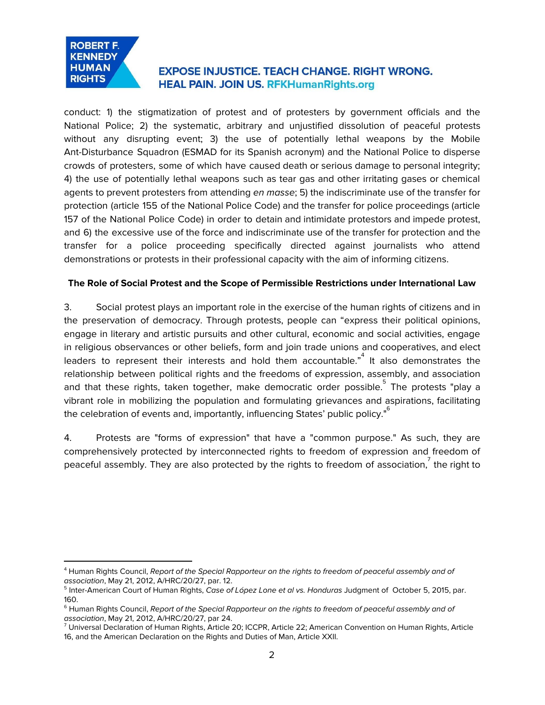

conduct: 1) the stigmatization of protest and of protesters by government officials and the National Police; 2) the systematic, arbitrary and unjustified dissolution of peaceful protests without any disrupting event; 3) the use of potentially lethal weapons by the Mobile Ant-Disturbance Squadron (ESMAD for its Spanish acronym) and the National Police to disperse crowds of protesters, some of which have caused death or serious damage to personal integrity; 4) the use of potentially lethal weapons such as tear gas and other irritating gases or chemical agents to prevent protesters from attending en masse; 5) the indiscriminate use of the transfer for protection (article 155 of the National Police Code) and the transfer for police proceedings (article 157 of the National Police Code) in order to detain and intimidate protestors and impede protest, and 6) the excessive use of the force and indiscriminate use of the transfer for protection and the transfer for a police proceeding specifically directed against journalists who attend demonstrations or protests in their professional capacity with the aim of informing citizens.

#### **The Role of Social Protest and the Scope of Permissible Restrictions under International Law**

3. Social protest plays an important role in the exercise of the human rights of citizens and in the preservation of democracy. Through protests, people can "express their political opinions, engage in literary and artistic pursuits and other cultural, economic and social activities, engage in religious observances or other beliefs, form and join trade unions and cooperatives, and elect leaders to represent their interests and hold them accountable." $4\,$  It also demonstrates the relationship between political rights and the freedoms of expression, assembly, and association and that these rights, taken together, make democratic order possible. $\mathring{\;}$  The protests "play a vibrant role in mobilizing the population and formulating grievances and aspirations, facilitating the celebration of events and, importantly, influencing States' public policy."<sup>6</sup>

4. Protests are "forms of expression" that have a "common purpose." As such, they are comprehensively protected by interconnected rights to freedom of expression and freedom of peaceful assembly. They are also protected by the rights to freedom of association,  $\overline{C}$  the right to

<sup>&</sup>lt;sup>4</sup> Human Rights Council, Report of the Special Rapporteur on the rights to freedom of peaceful assembly and of association, May 21, 2012, A/HRC/20/27, par. 12.

<sup>&</sup>lt;sup>5</sup> Inter-American Court of Human Rights, *Case of López Lone et al vs. Honduras J*udgment of October 5, 2015, par. 160.

<sup>&</sup>lt;sup>6</sup> Human Rights Council, Report of the Special Rapporteur on the rights to freedom of peaceful assembly and of association, May 21, 2012, A/HRC/20/27, par 24.

 $7$  Universal Declaration of Human Rights, Article 20; ICCPR, Article 22; American Convention on Human Rights, Article 16, and the American Declaration on the Rights and Duties of Man, Article XXII.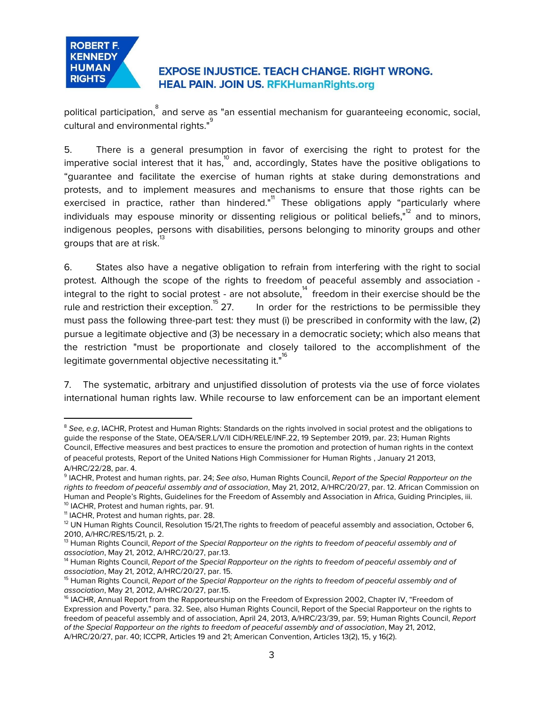

political participation, $\degree$  and serve as "an essential mechanism for guaranteeing economic, social, cultural and environmental rights."<sup>9</sup>

5. There is a general presumption in favor of exercising the right to protest for the imperative social interest that it has, $^{\text{10}}$  and, accordingly, States have the positive obligations to "guarantee and facilitate the exercise of human rights at stake during demonstrations and protests, and to implement measures and mechanisms to ensure that those rights can be exercised in practice, rather than hindered."<sup>1</sup> These obligations apply "particularly where individuals may espouse minority or dissenting religious or political beliefs," $^{12}$  and to minors, indigenous peoples, persons with disabilities, persons belonging to minority groups and other groups that are at risk. 13

6. States also have a negative obligation to refrain from interfering with the right to social protest. Although the scope of the rights to freedom of peaceful assembly and association integral to the right to social protest - are not absolute, $^\text{14}$  freedom in their exercise should be the In order for the restrictions to be permissible they rule and restriction their exception.<sup>15</sup> 27. must pass the following three-part test: they must (i) be prescribed in conformity with the law, (2) pursue a legitimate objective and (3) be necessary in a democratic society; which also means that the restriction "must be proportionate and closely tailored to the accomplishment of the legitimate governmental objective necessitating it."<sup>16</sup>

7. The systematic, arbitrary and unjustified dissolution of protests via the use of force violates international human rights law. While recourse to law enforcement can be an important element

<sup>&</sup>lt;sup>8</sup> See, e.g, IACHR, Protest and Human Rights: Standards on the rights involved in social protest and the obligations to guide the response of the State, OEA/SER.L/V/II CIDH/RELE/INF.22, 19 September 2019, par. 23; Human Rights Council, Effective measures and best practices to ensure the promotion and protection of human rights in the context of peaceful protests, Report of the United Nations High Commissioner for Human Rights , January 21 2013, A/HRC/22/28, par. 4.

<sup>&</sup>lt;sup>9</sup> IACHR, Protest and human rights, par. 24; See also, Human Rights Council, Report of the Special Rapporteur on the rights to freedom of peaceful assembly and of association, May 21, 2012, A/HRC/20/27, par. 12. African Commission on Human and People's Rights, Guidelines for the Freedom of Assembly and Association in Africa, Guiding Principles, iii. 10 IACHR, Protest and human rights, par. 91.

<sup>11</sup> IACHR, Protest and human rights, par. 28.

 $12$  UN Human Rights Council, Resolution 15/21, The rights to freedom of peaceful assembly and association, October 6, 2010, A/HRC/RES/15/21, p. 2.

<sup>&</sup>lt;sup>13</sup> Human Rights Council, Report of the Special Rapporteur on the rights to freedom of peaceful assembly and of association, May 21, 2012, A/HRC/20/27, par.13.

<sup>&</sup>lt;sup>14</sup> Human Rights Council, Report of the Special Rapporteur on the rights to freedom of peaceful assembly and of association, May 21, 2012, A/HRC/20/27, par. 15.

<sup>&</sup>lt;sup>15</sup> Human Rights Council, Report of the Special Rapporteur on the rights to freedom of peaceful assembly and of association, May 21, 2012, A/HRC/20/27, par.15.

<sup>&</sup>lt;sup>16</sup> IACHR, Annual Report from the Rapporteurship on the Freedom of Expression 2002, Chapter IV, "Freedom of Expression and Poverty," para. 32. See, also Human Rights Council, Report of the Special Rapporteur on the rights to freedom of peaceful assembly and of association, April 24, 2013, A/HRC/23/39, par. 59; Human Rights Council, Report of the Special Rapporteur on the rights to freedom of peaceful assembly and of association, May 21, 2012, A/HRC/20/27, par. 40; ICCPR, Articles 19 and 21; American Convention, Articles 13(2), 15, y 16(2).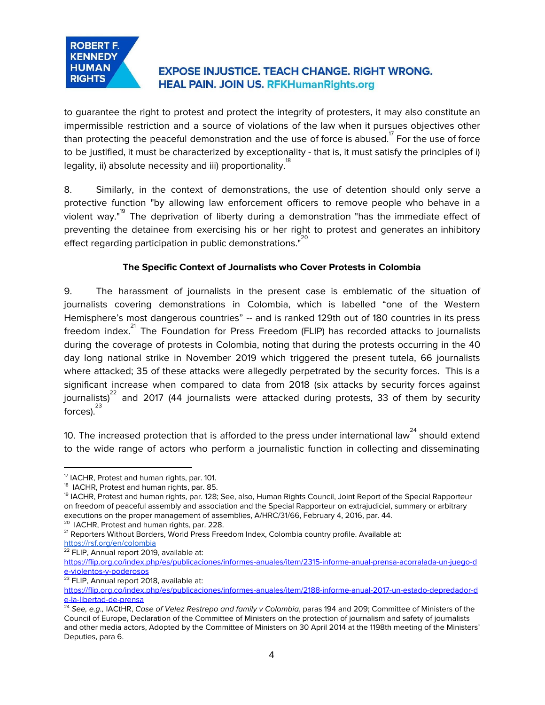## **ROBERT F. KENNEDY HUMAN RIGHTS**

# **EXPOSE INJUSTICE. TEACH CHANGE. RIGHT WRONG. HEAL PAIN. JOIN US. RFKHumanRights.org**

to guarantee the right to protest and protect the integrity of protesters, it may also constitute an impermissible restriction and a source of violations of the law when it pursues objectives other than protecting the peaceful demonstration and the use of force is abused.  $^7$  For the use of force to be justified, it must be characterized by exceptionality - that is, it must satisfy the principles of i) legality, ii) absolute necessity and iii) proportionality.<sup>18</sup>

8. Similarly, in the context of demonstrations, the use of detention should only serve a protective function "by allowing law enforcement officers to remove people who behave in a violent way."<sup>19</sup> The deprivation of liberty during a demonstration "has the immediate effect of preventing the detainee from exercising his or her right to protest and generates an inhibitory effect regarding participation in public demonstrations."<sup>20</sup>

## **The Specific Context of Journalists who Cover Protests in Colombia**

9. The harassment of journalists in the present case is emblematic of the situation of journalists covering demonstrations in Colombia, which is labelled "one of the Western Hemisphere's most dangerous countries" -- and is ranked 129th out of 180 countries in its press freedom index.<sup>21</sup> The Foundation for Press Freedom (FLIP) has recorded attacks to journalists during the coverage of protests in Colombia, noting that during the protests occurring in the 40 day long national strike in November 2019 which triggered the present tutela, 66 journalists where attacked; 35 of these attacks were allegedly perpetrated by the security forces. This is a significant increase when compared to data from 2018 (six attacks by security forces against journalists) $^{22}$  and 2017 (44 journalists were attacked during protests, 33 of them by security forces). 23

10. The increased protection that is afforded to the press under international law<sup>24</sup> should extend to the wide range of actors who perform a journalistic function in collecting and disseminating

<sup>23</sup> FLIP, Annual report 2018, available at:

<sup>&</sup>lt;sup>17</sup> IACHR, Protest and human rights, par. 101.

<sup>&</sup>lt;sup>18</sup> IACHR, Protest and human rights, par. 85.

<sup>19</sup> IACHR, Protest and human rights, par. 128; See, also, Human Rights Council, Joint Report of the Special Rapporteur on freedom of peaceful assembly and association and the Special Rapporteur on extrajudicial, summary or arbitrary executions on the proper management of assemblies, A/HRC/31/66, February 4, 2016, par. 44.

<sup>&</sup>lt;sup>20</sup> IACHR, Protest and human rights, par. 228.

<sup>&</sup>lt;sup>21</sup> Reporters Without Borders, World Press Freedom Index, Colombia country profile. Available at: <https://rsf.org/en/colombia>

<sup>&</sup>lt;sup>22</sup> FLIP, Annual report 2019, available at:

[https://flip.org.co/index.php/es/publicaciones/informes-anuales/item/2315-informe-anual-prensa-acorralada-un-juego-d](https://flip.org.co/index.php/es/publicaciones/informes-anuales/item/2315-informe-anual-prensa-acorralada-un-juego-de-violentos-y-poderosos) [e-violentos-y-poderosos](https://flip.org.co/index.php/es/publicaciones/informes-anuales/item/2315-informe-anual-prensa-acorralada-un-juego-de-violentos-y-poderosos)

[https://flip.org.co/index.php/es/publicaciones/informes-anuales/item/2188-informe-anual-2017-un-estado-depredador-d](https://flip.org.co/index.php/es/publicaciones/informes-anuales/item/2188-informe-anual-2017-un-estado-depredador-de-la-libertad-de-prensa) [e-la-libertad-de-prensa](https://flip.org.co/index.php/es/publicaciones/informes-anuales/item/2188-informe-anual-2017-un-estado-depredador-de-la-libertad-de-prensa)

<sup>24</sup> See, e.g., IACtHR, Case of Velez Restrepo and family v Colombia, paras 194 and 209; Committee of Ministers of the Council of Europe, Declaration of the Committee of Ministers on the protection of journalism and safety of journalists and other media actors, Adopted by the Committee of Ministers on 30 April 2014 at the 1198th meeting of the Ministers' Deputies, para 6.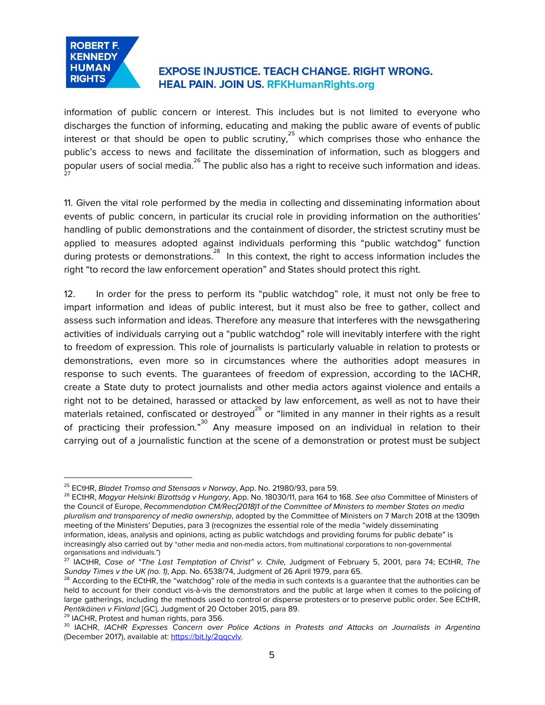

information of public concern or interest. This includes but is not limited to everyone who discharges the function of informing, educating and making the public aware of events of public interest or that should be open to public scrutiny, $^{25}$  which comprises those who enhance the public's access to news and facilitate the dissemination of information, such as bloggers and popular users of social media. $^{26}$  The public also has a right to receive such information and ideas. 27

11. Given the vital role performed by the media in collecting and disseminating information about events of public concern, in particular its crucial role in providing information on the authorities' handling of public demonstrations and the containment of disorder, the strictest scrutiny must be applied to measures adopted against individuals performing this "public watchdog" function during protests or demonstrations.<sup>28</sup> In this context, the right to access information includes the right "to record the law enforcement operation" and States should protect this right.

12. In order for the press to perform its "public watchdog" role, it must not only be free to impart information and ideas of public interest, but it must also be free to gather, collect and assess such information and ideas. Therefore any measure that interferes with the newsgathering activities of individuals carrying out a "public watchdog" role will inevitably interfere with the right to freedom of expression. This role of journalists is particularly valuable in relation to protests or demonstrations, even more so in circumstances where the authorities adopt measures in response to such events. The guarantees of freedom of expression, according to the IACHR, create a State duty to protect journalists and other media actors against violence and entails a right not to be detained, harassed or attacked by law enforcement, as well as not to have their materials retained, confiscated or destroyed $^{^{29}}$  or "limited in any manner in their rights as a result of practicing their profession."<sup>30</sup> Any measure imposed on an individual in relation to their carrying out of a journalistic function at the scene of a demonstration or protest must be subject

<sup>29</sup> IACHR, Protest and human rights, para 356.

<sup>&</sup>lt;sup>25</sup> ECtHR, Bladet Tromso and Stensaas v Norway, App. No. 21980/93, para 59.

<sup>&</sup>lt;sup>26</sup> ECtHR, Magyar Helsinki Bizottság v Hungary, App. No. 18030/11, para 164 to 168. See also Committee of Ministers of the Council of Europe, Recommendation CM/Rec(2018)1 of the Committee of Ministers to member States on media pluralism and transparency of media ownership, adopted by the Committee of Ministers on 7 March 2018 at the 1309th meeting of the Ministers' Deputies, para 3 (recognizes the essential role of the media "widely disseminating information, ideas, analysis and opinions, acting as public watchdogs and providing forums for public debate" is increasingly also carried out by "other media and non-media actors, from multinational corporations to non-governmental organisations and individuals.")

 $^{27}$  IACtHR, Case of "The Last Temptation of Christ" v. Chile, Judgment of February 5, 2001, para 74; ECtHR, The Sunday Times v the UK (no. 1), App. No. 6538/74, Judgment of 26 April 1979, para 65.

 $^{28}$  According to the ECtHR, the "watchdog" role of the media in such contexts is a guarantee that the authorities can be held to account for their conduct vis-à-vis the demonstrators and the public at large when it comes to the policing of large gatherings, including the methods used to control or disperse protesters or to preserve public order. See ECtHR, Pentikäinen v Finland [GC], Judgment of 20 October 2015, para 89.

 $^{30}$  IACHR, IACHR Expresses Concern over Police Actions in Protests and Attacks on Journalists in Argentina (December 2017), available at: https://bit.ly/2qqcvly.